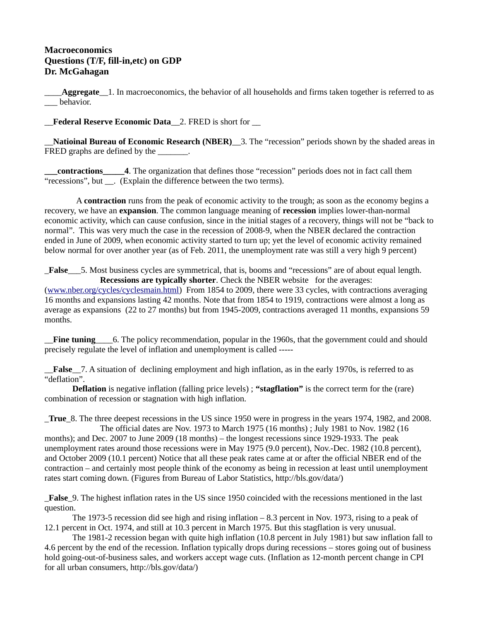## **Macroeconomics Questions (T/F, fill-in,etc) on GDP Dr. McGahagan**

\_\_\_\_**Aggregate**\_\_1. In macroeconomics, the behavior of all households and firms taken together is referred to as \_\_\_ behavior.

## \_\_**Federal Reserve Economic Data**\_\_2. FRED is short for \_\_

\_\_**Natioinal Bureau of Economic Research (NBER)**\_\_3. The "recession" periods shown by the shaded areas in FRED graphs are defined by the \_\_\_\_\_\_\_.

**contractions** 4. The organization that defines those "recession" periods does not in fact call them "recessions", but \_\_. (Explain the difference between the two terms).

 A **contraction** runs from the peak of economic activity to the trough; as soon as the economy begins a recovery, we have an **expansion**. The common language meaning of **recession** implies lower-than-normal economic activity, which can cause confusion, since in the initial stages of a recovery, things will not be "back to normal". This was very much the case in the recession of 2008-9, when the NBER declared the contraction ended in June of 2009, when economic activity started to turn up; yet the level of economic activity remained below normal for over another year (as of Feb. 2011, the unemployment rate was still a very high 9 percent)

\_**False**\_\_\_5. Most business cycles are symmetrical, that is, booms and "recessions" are of about equal length. **Recessions are typically shorter**. Check the NBER website for the averages:

[\(www.nber.org/cycles/cyclesmain.html\)](http://www.nber.org/cycles/cyclesmain.html) From 1854 to 2009, there were 33 cycles, with contractions averaging 16 months and expansions lasting 42 months. Note that from 1854 to 1919, contractions were almost a long as average as expansions (22 to 27 months) but from 1945-2009, contractions averaged 11 months, expansions 59 months.

\_\_**Fine tuning**\_\_\_\_6. The policy recommendation, popular in the 1960s, that the government could and should precisely regulate the level of inflation and unemployment is called -----

\_\_**False**\_\_7. A situation of declining employment and high inflation, as in the early 1970s, is referred to as "deflation".

**Deflation** is negative inflation (falling price levels) ; **"stagflation"** is the correct term for the (rare) combination of recession or stagnation with high inflation.

\_**True**\_8. The three deepest recessions in the US since 1950 were in progress in the years 1974, 1982, and 2008. The official dates are Nov. 1973 to March 1975 (16 months) ; July 1981 to Nov. 1982 (16

months); and Dec. 2007 to June 2009 (18 months) – the longest recessions since 1929-1933. The peak unemployment rates around those recessions were in May 1975 (9.0 percent), Nov.-Dec. 1982 (10.8 percent), and October 2009 (10.1 percent) Notice that all these peak rates came at or after the official NBER end of the contraction – and certainly most people think of the economy as being in recession at least until unemployment rates start coming down. (Figures from Bureau of Labor Statistics, http://bls.gov/data/)

\_**False**\_9. The highest inflation rates in the US since 1950 coincided with the recessions mentioned in the last question.

The 1973-5 recession did see high and rising inflation  $-8.3$  percent in Nov. 1973, rising to a peak of 12.1 percent in Oct. 1974, and still at 10.3 percent in March 1975. But this stagflation is very unusual.

The 1981-2 recession began with quite high inflation (10.8 percent in July 1981) but saw inflation fall to 4.6 percent by the end of the recession. Inflation typically drops during recessions – stores going out of business hold going-out-of-business sales, and workers accept wage cuts. (Inflation as 12-month percent change in CPI for all urban consumers, http://bls.gov/data/)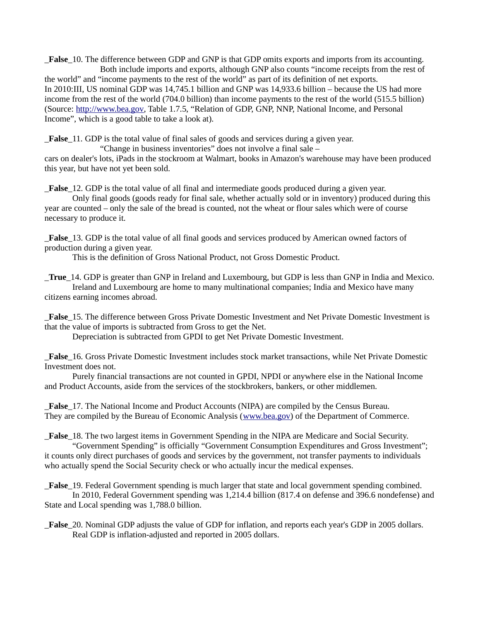**False** 10. The difference between GDP and GNP is that GDP omits exports and imports from its accounting. Both include imports and exports, although GNP also counts "income receipts from the rest of the world" and "income payments to the rest of the world" as part of its definition of net exports. In 2010:III, US nominal GDP was 14,745.1 billion and GNP was 14,933.6 billion – because the US had more income from the rest of the world (704.0 billion) than income payments to the rest of the world (515.5 billion) (Source: [http://www.bea.gov,](http://www.bea.gov/) Table 1.7.5, "Relation of GDP, GNP, NNP, National Income, and Personal Income", which is a good table to take a look at).

**False** 11. GDP is the total value of final sales of goods and services during a given year.

"Change in business inventories" does not involve a final sale –

cars on dealer's lots, iPads in the stockroom at Walmart, books in Amazon's warehouse may have been produced this year, but have not yet been sold.

\_**False**\_12. GDP is the total value of all final and intermediate goods produced during a given year.

Only final goods (goods ready for final sale, whether actually sold or in inventory) produced during this year are counted – only the sale of the bread is counted, not the wheat or flour sales which were of course necessary to produce it.

\_**False**\_13. GDP is the total value of all final goods and services produced by American owned factors of production during a given year.

This is the definition of Gross National Product, not Gross Domestic Product.

\_**True**\_14. GDP is greater than GNP in Ireland and Luxembourg, but GDP is less than GNP in India and Mexico. Ireland and Luxembourg are home to many multinational companies; India and Mexico have many citizens earning incomes abroad.

\_**False**\_15. The difference between Gross Private Domestic Investment and Net Private Domestic Investment is that the value of imports is subtracted from Gross to get the Net.

Depreciation is subtracted from GPDI to get Net Private Domestic Investment.

\_**False**\_16. Gross Private Domestic Investment includes stock market transactions, while Net Private Domestic Investment does not.

Purely financial transactions are not counted in GPDI, NPDI or anywhere else in the National Income and Product Accounts, aside from the services of the stockbrokers, bankers, or other middlemen.

\_**False**\_17. The National Income and Product Accounts (NIPA) are compiled by the Census Bureau. They are compiled by the Bureau of Economic Analysis [\(www.bea.gov\)](http://www.bea.gov/) of the Department of Commerce.

\_**False**\_18. The two largest items in Government Spending in the NIPA are Medicare and Social Security.

"Government Spending" is officially "Government Consumption Expenditures and Gross Investment"; it counts only direct purchases of goods and services by the government, not transfer payments to individuals who actually spend the Social Security check or who actually incur the medical expenses.

\_**False**\_19. Federal Government spending is much larger that state and local government spending combined.

In 2010, Federal Government spending was 1,214.4 billion (817.4 on defense and 396.6 nondefense) and State and Local spending was 1,788.0 billion.

\_**False**\_20. Nominal GDP adjusts the value of GDP for inflation, and reports each year's GDP in 2005 dollars. Real GDP is inflation-adjusted and reported in 2005 dollars.